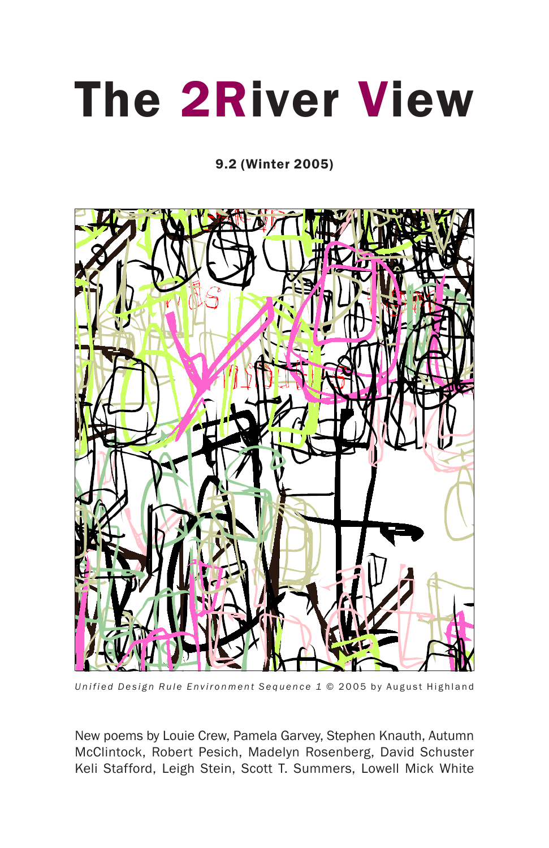# The 2River View

9.2 (Winter 2005)



*Unified Design Rule Environment Sequence 1* © 2005 by August Highland

New poems by Louie Crew, Pamela Garvey, Stephen Knauth, Autumn McClintock, Robert Pesich, Madelyn Rosenberg, David Schuster Keli Stafford, Leigh Stein, Scott T. Summers, Lowell Mick White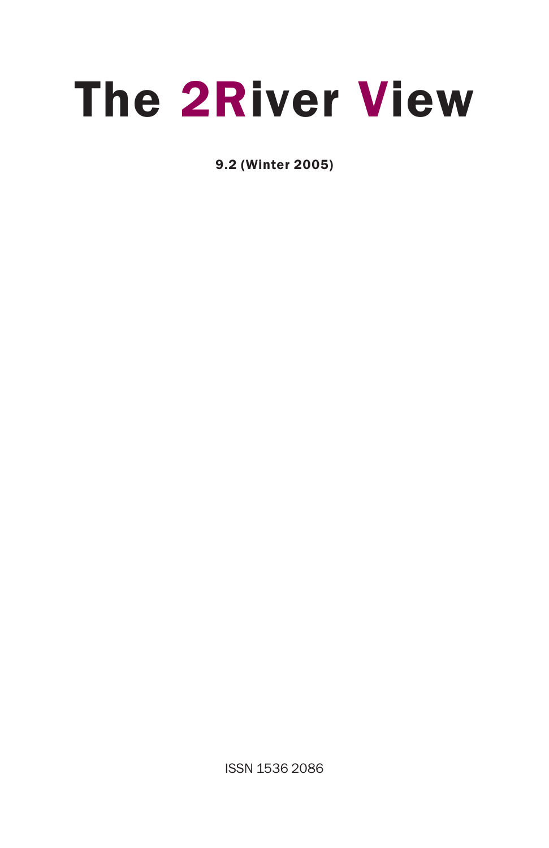

9.2 (Winter 2005)

ISSN 1536 2086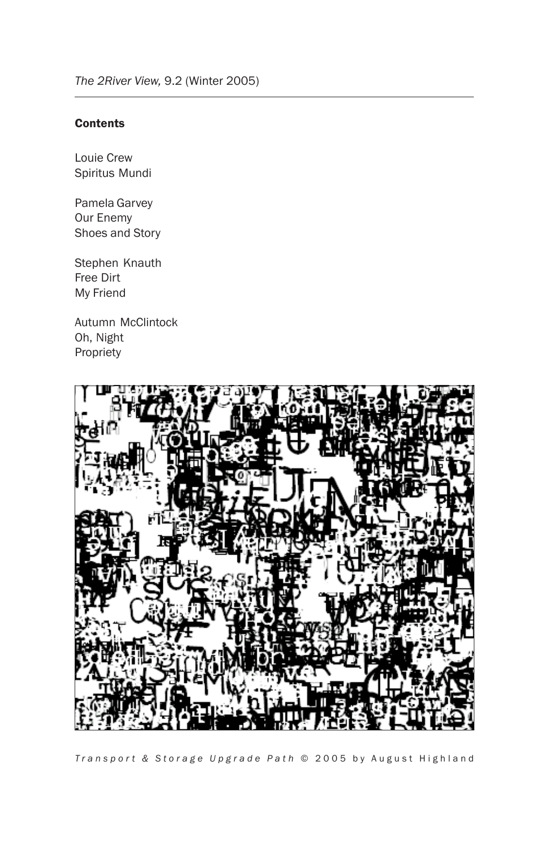## Contents

Louie Crew Spiritus Mundi

Pamela Garvey Our Enemy Shoes and Story

Stephen Knauth Free Dirt My Friend

Autumn McClintock Oh, Night Propriety



*Transport & Storage Upgrade Path* © 2005 by August Highland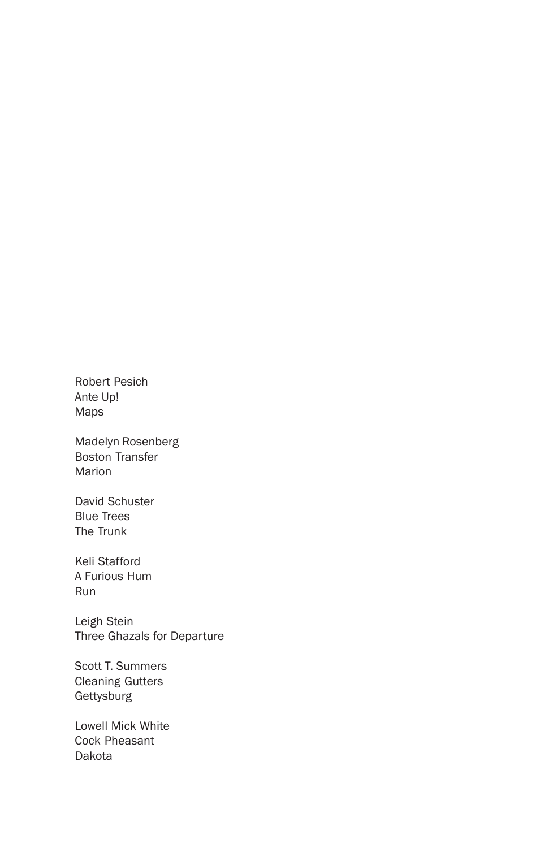Robert Pesich Ante Up! Maps

Madelyn Rosenberg Boston Transfer Marion

David Schuster Blue Trees The Trunk

Keli Stafford A Furious Hum Run

Leigh Stein Three Ghazals for Departure

Scott T. Summers Cleaning Gutters **Gettysburg** 

Lowell Mick White Cock Pheasant Dakota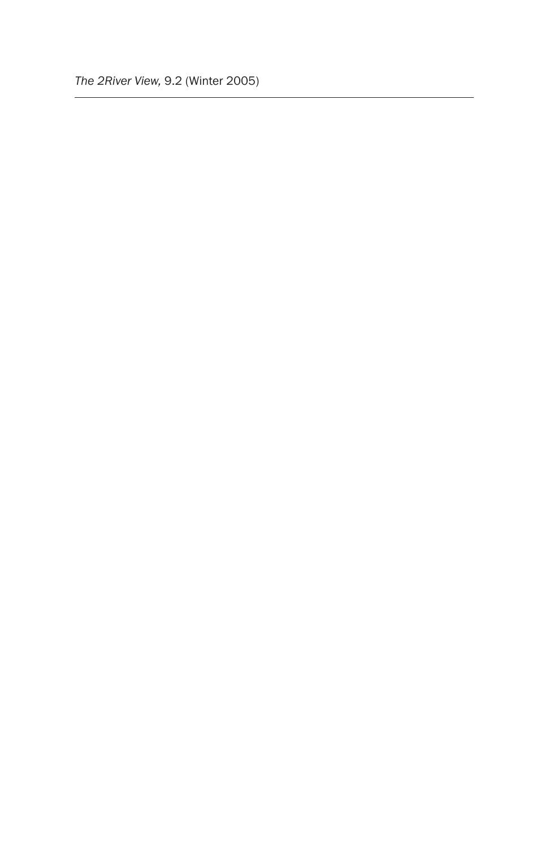*The 2River View,* 9.2 (Winter 2005)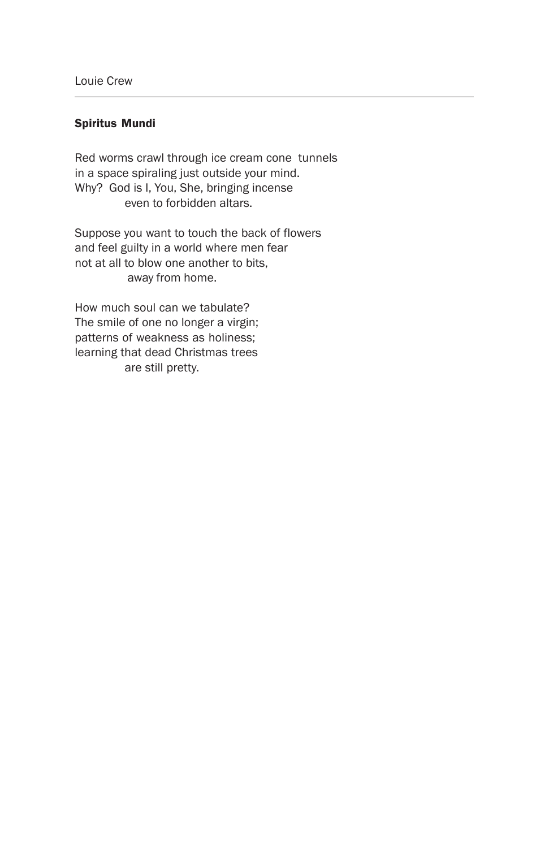## Spiritus Mundi

Red worms crawl through ice cream cone tunnels in a space spiraling just outside your mind. Why? God is I, You, She, bringing incense even to forbidden altars.

Suppose you want to touch the back of flowers and feel guilty in a world where men fear not at all to blow one another to bits, away from home.

How much soul can we tabulate? The smile of one no longer a virgin; patterns of weakness as holiness; learning that dead Christmas trees are still pretty.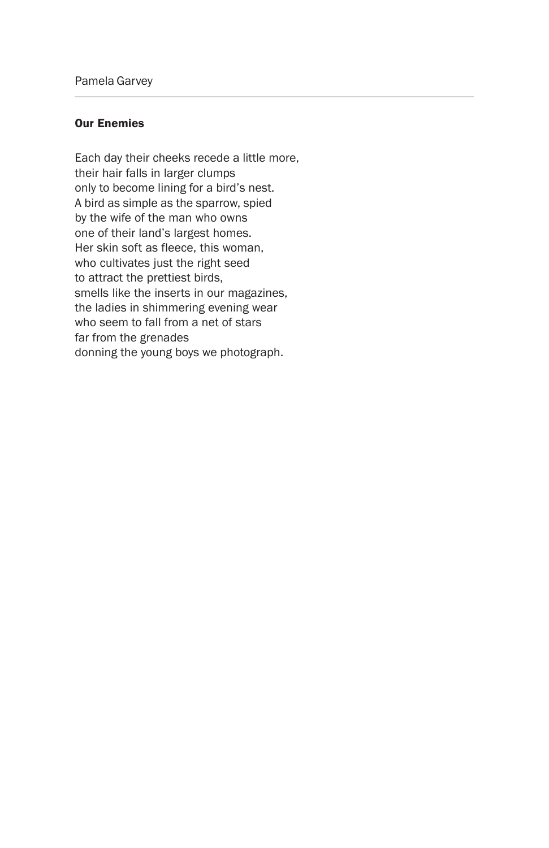#### Our Enemies

Each day their cheeks recede a little more, their hair falls in larger clumps only to become lining for a bird's nest. A bird as simple as the sparrow, spied by the wife of the man who owns one of their land's largest homes. Her skin soft as fleece, this woman, who cultivates just the right seed to attract the prettiest birds, smells like the inserts in our magazines, the ladies in shimmering evening wear who seem to fall from a net of stars far from the grenades donning the young boys we photograph.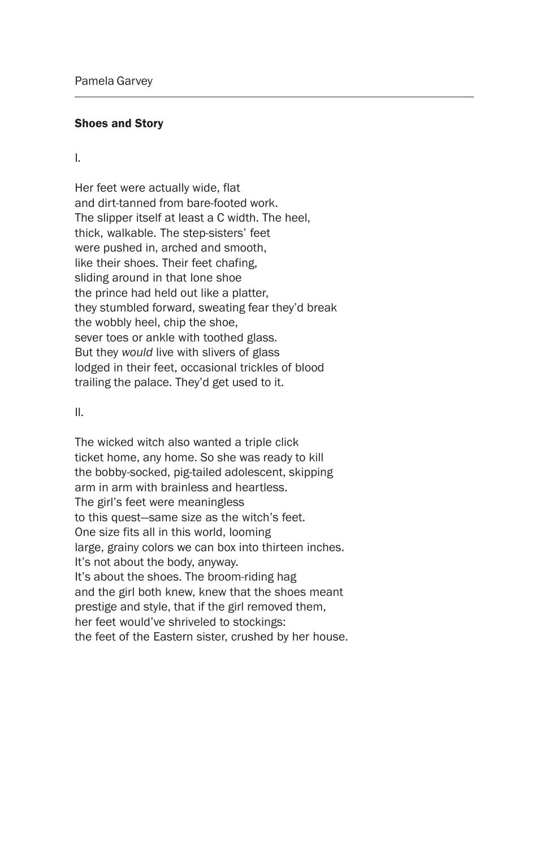#### Shoes and Story

I.

Her feet were actually wide, flat and dirt-tanned from bare-footed work. The slipper itself at least a C width. The heel, thick, walkable. The step-sisters' feet were pushed in, arched and smooth, like their shoes. Their feet chafing, sliding around in that lone shoe the prince had held out like a platter, they stumbled forward, sweating fear they'd break the wobbly heel, chip the shoe, sever toes or ankle with toothed glass. But they *would* live with slivers of glass lodged in their feet, occasional trickles of blood trailing the palace. They'd get used to it.

II.

The wicked witch also wanted a triple click ticket home, any home. So she was ready to kill the bobby-socked, pig-tailed adolescent, skipping arm in arm with brainless and heartless. The girl's feet were meaningless to this quest—same size as the witch's feet. One size fits all in this world, looming large, grainy colors we can box into thirteen inches. It's not about the body, anyway. It's about the shoes. The broom-riding hag and the girl both knew, knew that the shoes meant prestige and style, that if the girl removed them, her feet would've shriveled to stockings: the feet of the Eastern sister, crushed by her house.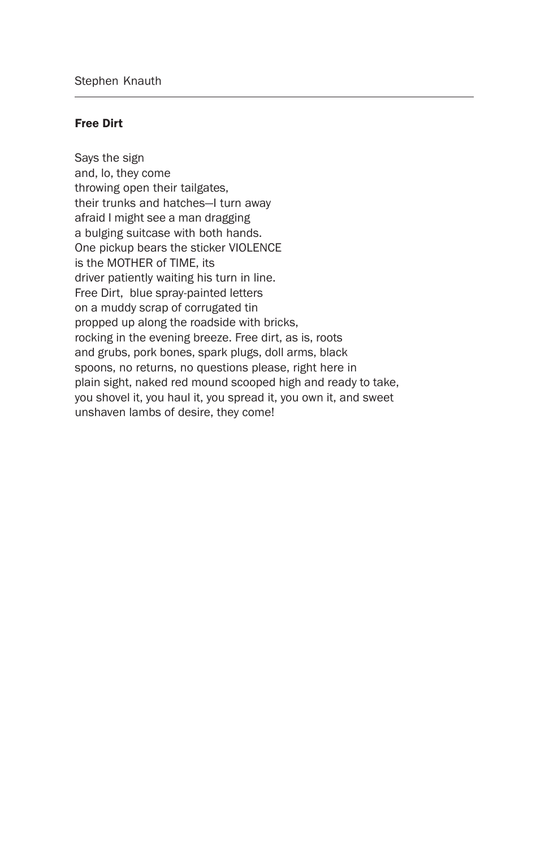## Free Dirt

Says the sign and, lo, they come throwing open their tailgates, their trunks and hatches—I turn away afraid I might see a man dragging a bulging suitcase with both hands. One pickup bears the sticker VIOLENCE is the MOTHER of TIME, its driver patiently waiting his turn in line. Free Dirt, blue spray-painted letters on a muddy scrap of corrugated tin propped up along the roadside with bricks, rocking in the evening breeze. Free dirt, as is, roots and grubs, pork bones, spark plugs, doll arms, black spoons, no returns, no questions please, right here in plain sight, naked red mound scooped high and ready to take, you shovel it, you haul it, you spread it, you own it, and sweet unshaven lambs of desire, they come!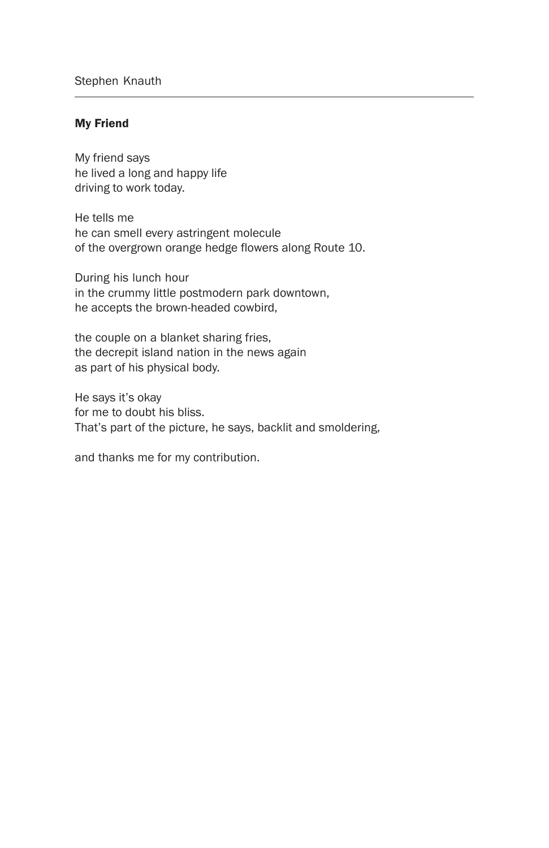## My Friend

My friend says he lived a long and happy life driving to work today.

He tells me he can smell every astringent molecule of the overgrown orange hedge flowers along Route 10.

During his lunch hour in the crummy little postmodern park downtown, he accepts the brown-headed cowbird,

the couple on a blanket sharing fries, the decrepit island nation in the news again as part of his physical body.

He says it's okay for me to doubt his bliss. That's part of the picture, he says, backlit and smoldering,

and thanks me for my contribution.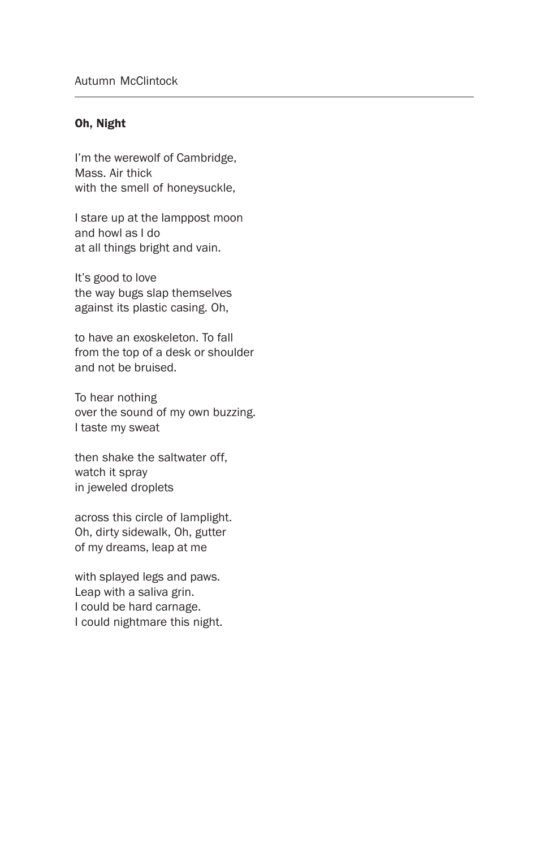# Oh, Night

I'm the werewolf of Cambridge, Mass. Air thick with the smell of honeysuckle,

I stare up at the lamppost moon and howl as I do at all things bright and vain.

It's good to love the way bugs slap themselves against its plastic casing. Oh,

to have an exoskeleton. To fall from the top of a desk or shoulder and not be bruised.

To hear nothing over the sound of my own buzzing. I taste my sweat

then shake the saltwater off, watch it spray in jeweled droplets

across this circle of lamplight. Oh, dirty sidewalk, Oh, gutter of my dreams, leap at me

with splayed legs and paws. Leap with a saliva grin. I could be hard carnage. I could nightmare this night.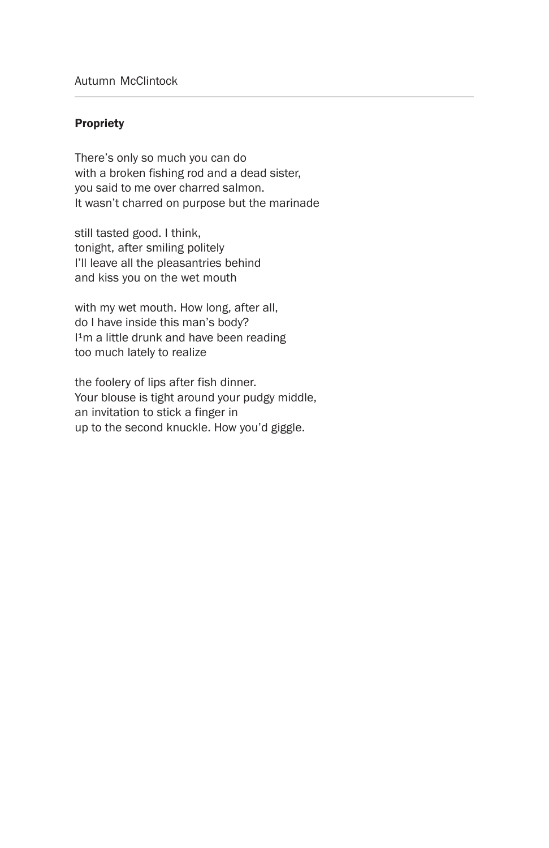# Propriety

There's only so much you can do with a broken fishing rod and a dead sister, you said to me over charred salmon. It wasn't charred on purpose but the marinade

still tasted good. I think, tonight, after smiling politely I'll leave all the pleasantries behind and kiss you on the wet mouth

with my wet mouth. How long, after all, do I have inside this man's body? I<sup>1</sup>m a little drunk and have been reading too much lately to realize

the foolery of lips after fish dinner. Your blouse is tight around your pudgy middle, an invitation to stick a finger in up to the second knuckle. How you'd giggle.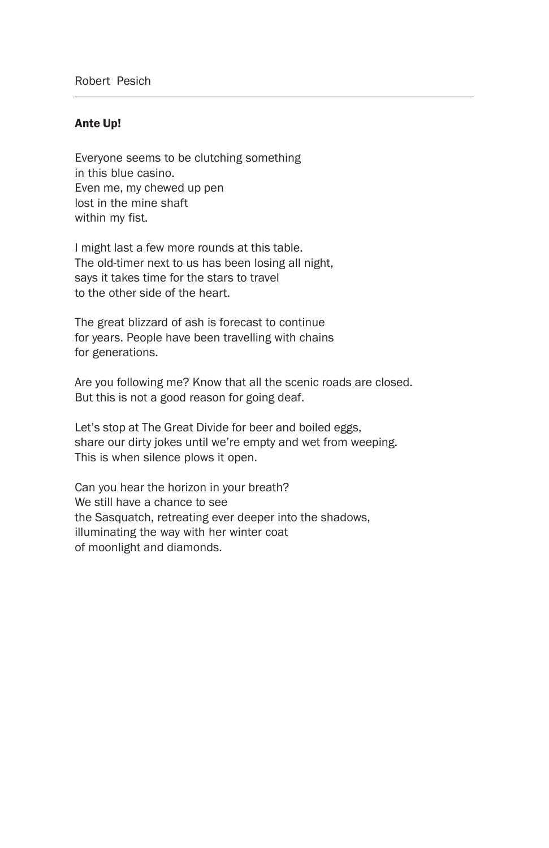#### Ante Up!

Everyone seems to be clutching something in this blue casino. Even me, my chewed up pen lost in the mine shaft within my fist.

I might last a few more rounds at this table. The old-timer next to us has been losing all night, says it takes time for the stars to travel to the other side of the heart.

The great blizzard of ash is forecast to continue for years. People have been travelling with chains for generations.

Are you following me? Know that all the scenic roads are closed. But this is not a good reason for going deaf.

Let's stop at The Great Divide for beer and boiled eggs, share our dirty jokes until we're empty and wet from weeping. This is when silence plows it open.

Can you hear the horizon in your breath? We still have a chance to see the Sasquatch, retreating ever deeper into the shadows, illuminating the way with her winter coat of moonlight and diamonds.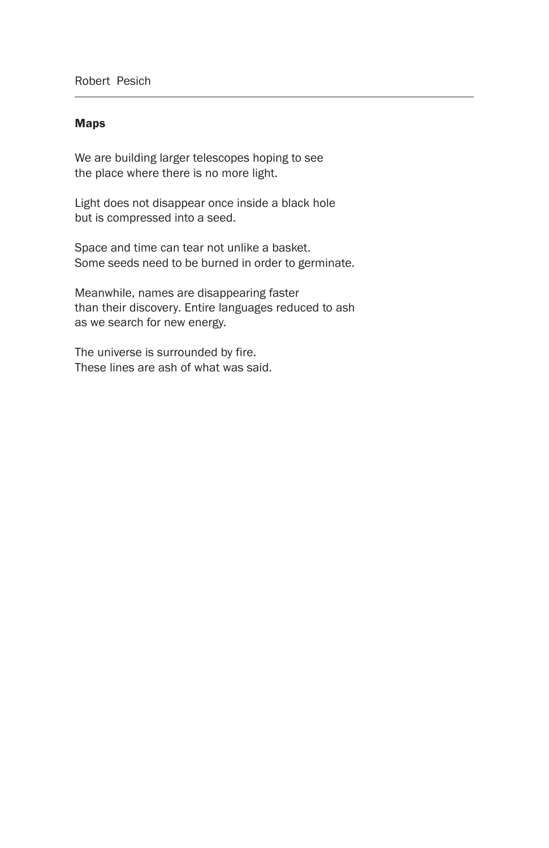## Maps

We are building larger telescopes hoping to see the place where there is no more light.

Light does not disappear once inside a black hole but is compressed into a seed.

Space and time can tear not unlike a basket. Some seeds need to be burned in order to germinate.

Meanwhile, names are disappearing faster than their discovery. Entire languages reduced to ash as we search for new energy.

The universe is surrounded by fire. These lines are ash of what was said.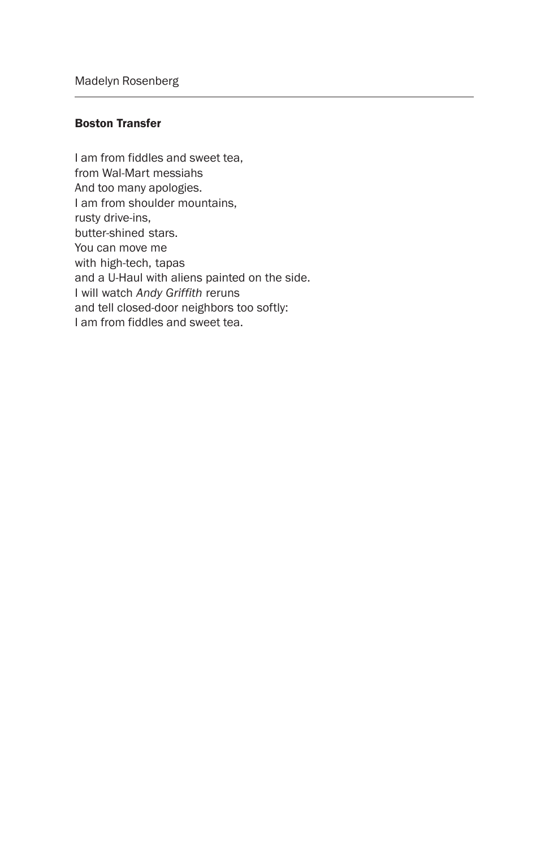#### Boston Transfer

I am from fiddles and sweet tea, from Wal-Mart messiahs And too many apologies. I am from shoulder mountains, rusty drive-ins, butter-shined stars. You can move me with high-tech, tapas and a U-Haul with aliens painted on the side. I will watch *Andy Griffith* reruns and tell closed-door neighbors too softly: I am from fiddles and sweet tea.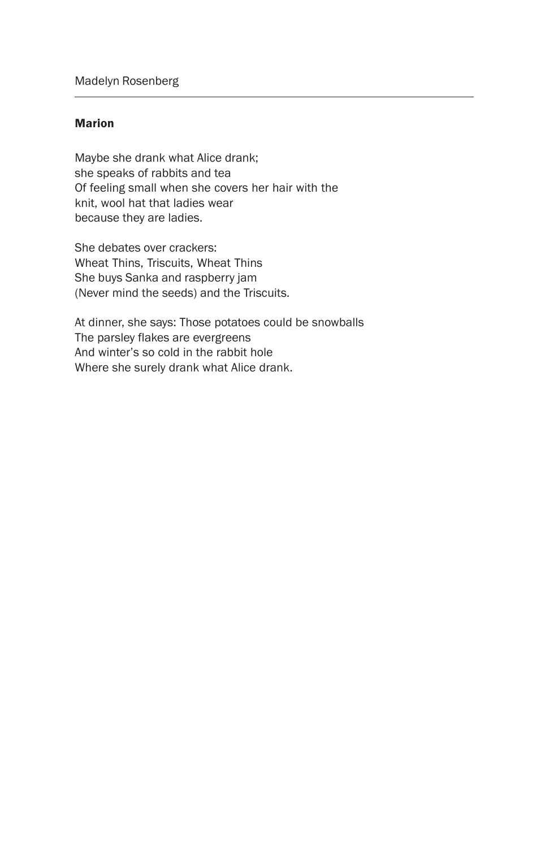## Marion

Maybe she drank what Alice drank; she speaks of rabbits and tea Of feeling small when she covers her hair with the knit, wool hat that ladies wear because they are ladies.

She debates over crackers: Wheat Thins, Triscuits, Wheat Thins She buys Sanka and raspberry jam (Never mind the seeds) and the Triscuits.

At dinner, she says: Those potatoes could be snowballs The parsley flakes are evergreens And winter's so cold in the rabbit hole Where she surely drank what Alice drank.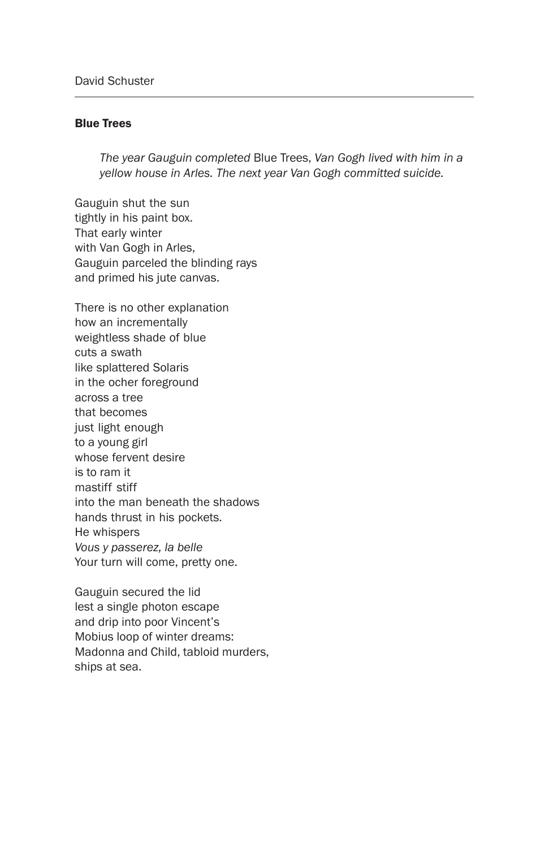## Blue Trees

*The year Gauguin completed* Blue Trees, *Van Gogh lived with him in a yellow house in Arles. The next year Van Gogh committed suicide.*

Gauguin shut the sun tightly in his paint box. That early winter with Van Gogh in Arles, Gauguin parceled the blinding rays and primed his jute canvas.

There is no other explanation how an incrementally weightless shade of blue cuts a swath like splattered Solaris in the ocher foreground across a tree that becomes just light enough to a young girl whose fervent desire is to ram it mastiff stiff into the man beneath the shadows hands thrust in his pockets. He whispers *Vous y passerez, la belle* Your turn will come, pretty one.

Gauguin secured the lid lest a single photon escape and drip into poor Vincent's Mobius loop of winter dreams: Madonna and Child, tabloid murders, ships at sea.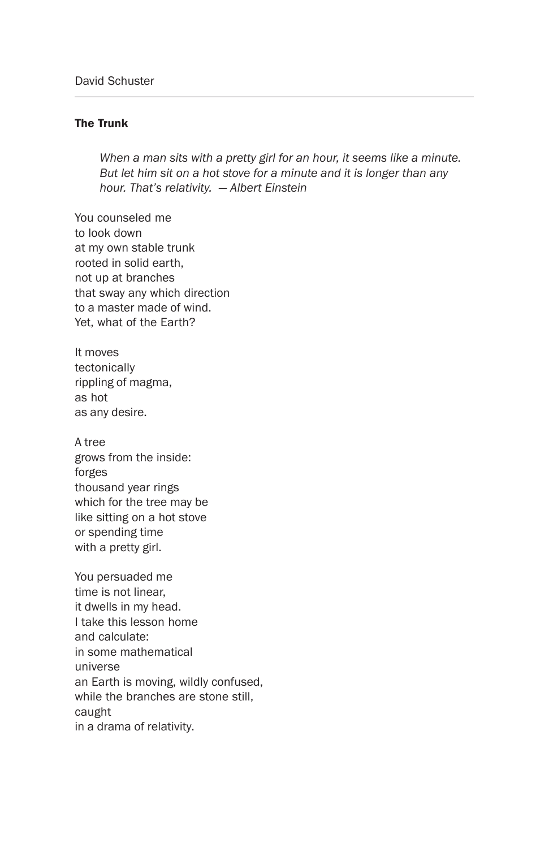## The Trunk

*When a man sits with a pretty girl for an hour, it seems like a minute. But let him sit on a hot stove for a minute and it is longer than any hour. That's relativity. — Albert Einstein*

You counseled me to look down at my own stable trunk rooted in solid earth, not up at branches that sway any which direction to a master made of wind. Yet, what of the Earth?

It moves tectonically rippling of magma, as hot as any desire.

A tree grows from the inside: forges thousand year rings which for the tree may be like sitting on a hot stove or spending time with a pretty girl.

You persuaded me time is not linear, it dwells in my head. I take this lesson home and calculate: in some mathematical universe an Earth is moving, wildly confused, while the branches are stone still, caught in a drama of relativity.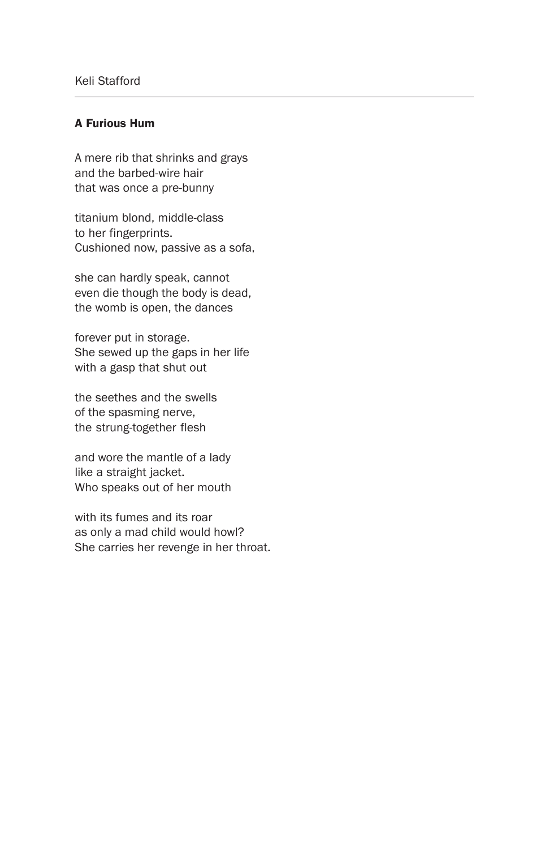# A Furious Hum

A mere rib that shrinks and grays and the barbed-wire hair that was once a pre-bunny

titanium blond, middle-class to her fingerprints. Cushioned now, passive as a sofa,

she can hardly speak, cannot even die though the body is dead, the womb is open, the dances

forever put in storage. She sewed up the gaps in her life with a gasp that shut out

the seethes and the swells of the spasming nerve, the strung-together flesh

and wore the mantle of a lady like a straight jacket. Who speaks out of her mouth

with its fumes and its roar as only a mad child would howl? She carries her revenge in her throat.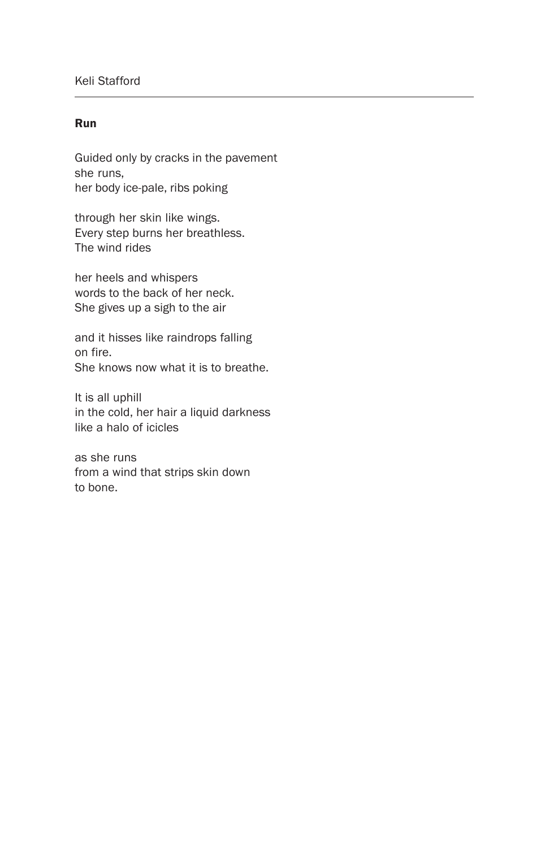## Run

Guided only by cracks in the pavement she runs, her body ice-pale, ribs poking

through her skin like wings. Every step burns her breathless. The wind rides

her heels and whispers words to the back of her neck. She gives up a sigh to the air

and it hisses like raindrops falling on fire. She knows now what it is to breathe.

It is all uphill in the cold, her hair a liquid darkness like a halo of icicles

as she runs from a wind that strips skin down to bone.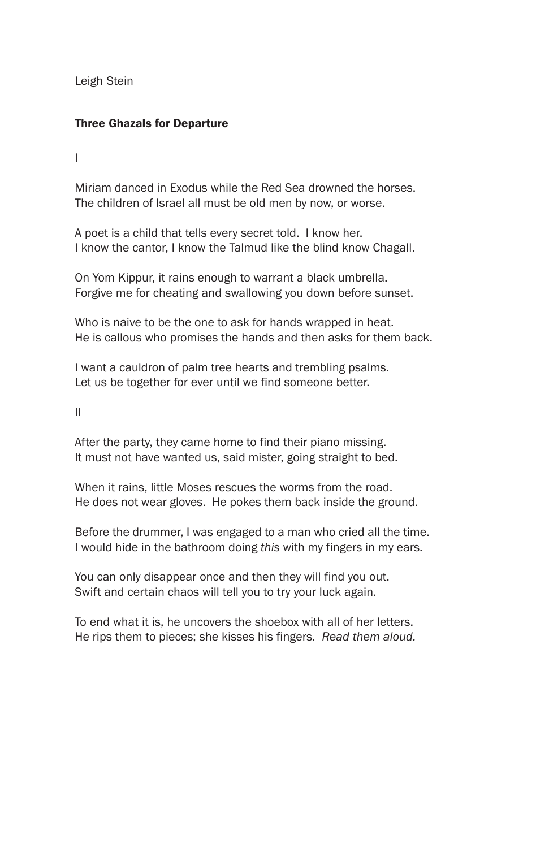Leigh Stein

#### Three Ghazals for Departure

I

Miriam danced in Exodus while the Red Sea drowned the horses. The children of Israel all must be old men by now, or worse.

A poet is a child that tells every secret told. I know her. I know the cantor, I know the Talmud like the blind know Chagall.

On Yom Kippur, it rains enough to warrant a black umbrella. Forgive me for cheating and swallowing you down before sunset.

Who is naive to be the one to ask for hands wrapped in heat. He is callous who promises the hands and then asks for them back.

I want a cauldron of palm tree hearts and trembling psalms. Let us be together for ever until we find someone better.

II

After the party, they came home to find their piano missing. It must not have wanted us, said mister, going straight to bed.

When it rains, little Moses rescues the worms from the road. He does not wear gloves. He pokes them back inside the ground.

Before the drummer, I was engaged to a man who cried all the time. I would hide in the bathroom doing *this* with my fingers in my ears.

You can only disappear once and then they will find you out. Swift and certain chaos will tell you to try your luck again.

To end what it is, he uncovers the shoebox with all of her letters. He rips them to pieces; she kisses his fingers. *Read them aloud.*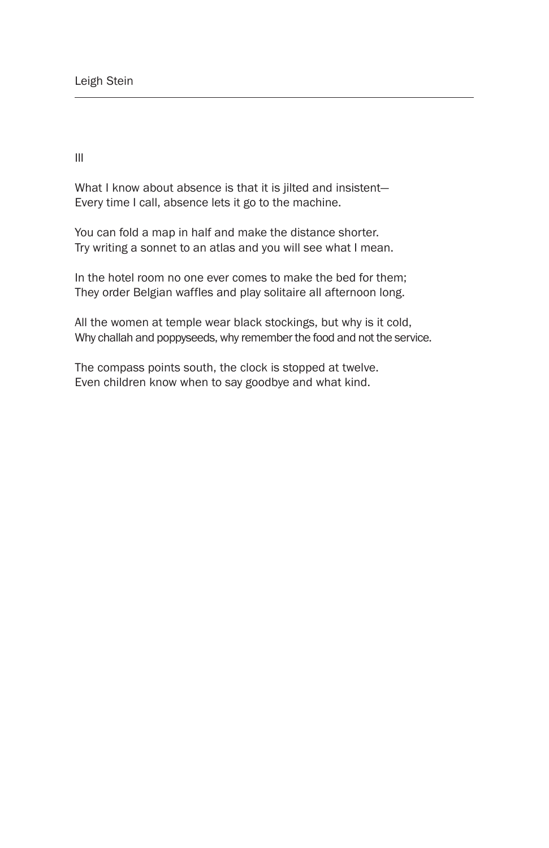III

What I know about absence is that it is jilted and insistent— Every time I call, absence lets it go to the machine.

You can fold a map in half and make the distance shorter. Try writing a sonnet to an atlas and you will see what I mean.

In the hotel room no one ever comes to make the bed for them; They order Belgian waffles and play solitaire all afternoon long.

All the women at temple wear black stockings, but why is it cold, Why challah and poppyseeds, why remember the food and not the service.

The compass points south, the clock is stopped at twelve. Even children know when to say goodbye and what kind.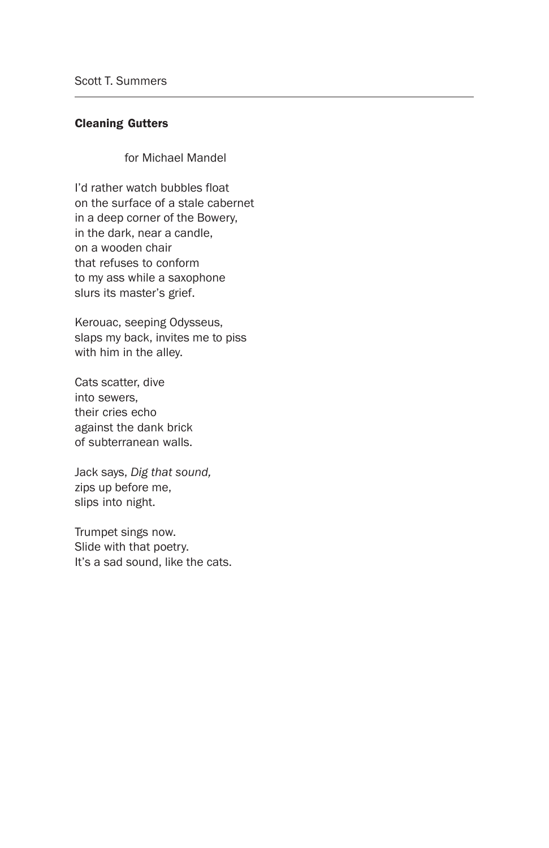## Cleaning Gutters

for Michael Mandel

I'd rather watch bubbles float on the surface of a stale cabernet in a deep corner of the Bowery, in the dark, near a candle, on a wooden chair that refuses to conform to my ass while a saxophone slurs its master's grief.

Kerouac, seeping Odysseus, slaps my back, invites me to piss with him in the alley.

Cats scatter, dive into sewers, their cries echo against the dank brick of subterranean walls.

Jack says, *Dig that sound,* zips up before me, slips into night.

Trumpet sings now. Slide with that poetry. It's a sad sound, like the cats.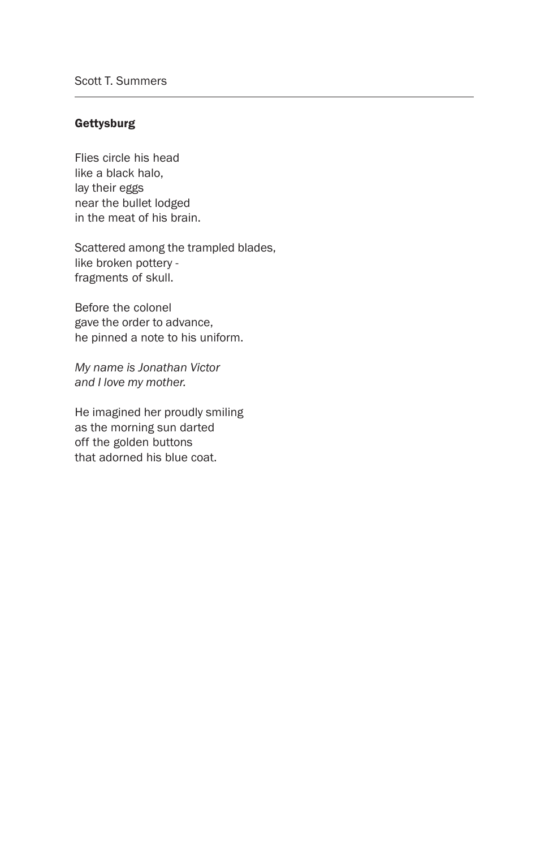# **Gettysburg**

Flies circle his head like a black halo, lay their eggs near the bullet lodged in the meat of his brain.

Scattered among the trampled blades, like broken pottery fragments of skull.

Before the colonel gave the order to advance, he pinned a note to his uniform.

*My name is Jonathan Victor and I love my mother.*

He imagined her proudly smiling as the morning sun darted off the golden buttons that adorned his blue coat.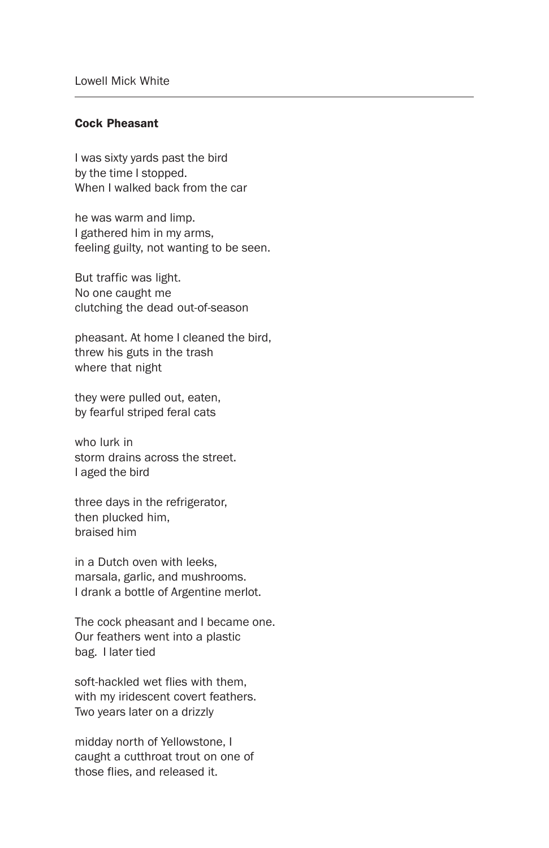## Cock Pheasant

I was sixty yards past the bird by the time I stopped. When I walked back from the car

he was warm and limp. I gathered him in my arms, feeling guilty, not wanting to be seen.

But traffic was light. No one caught me clutching the dead out-of-season

pheasant. At home I cleaned the bird, threw his guts in the trash where that night

they were pulled out, eaten, by fearful striped feral cats

who lurk in storm drains across the street. I aged the bird

three days in the refrigerator, then plucked him, braised him

in a Dutch oven with leeks, marsala, garlic, and mushrooms. I drank a bottle of Argentine merlot.

The cock pheasant and I became one. Our feathers went into a plastic bag. I later tied

soft-hackled wet flies with them, with my iridescent covert feathers. Two years later on a drizzly

midday north of Yellowstone, I caught a cutthroat trout on one of those flies, and released it.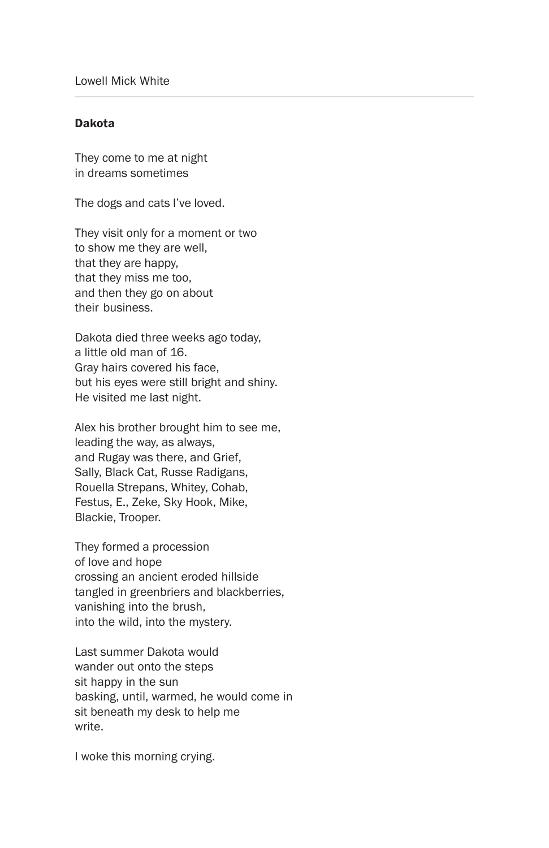#### Dakota

They come to me at night in dreams sometimes

The dogs and cats I've loved.

They visit only for a moment or two to show me they are well, that they are happy, that they miss me too, and then they go on about their business.

Dakota died three weeks ago today, a little old man of 16. Gray hairs covered his face, but his eyes were still bright and shiny. He visited me last night.

Alex his brother brought him to see me, leading the way, as always, and Rugay was there, and Grief, Sally, Black Cat, Russe Radigans, Rouella Strepans, Whitey, Cohab, Festus, E., Zeke, Sky Hook, Mike, Blackie, Trooper.

They formed a procession of love and hope crossing an ancient eroded hillside tangled in greenbriers and blackberries, vanishing into the brush, into the wild, into the mystery.

Last summer Dakota would wander out onto the steps sit happy in the sun basking, until, warmed, he would come in sit beneath my desk to help me write.

I woke this morning crying.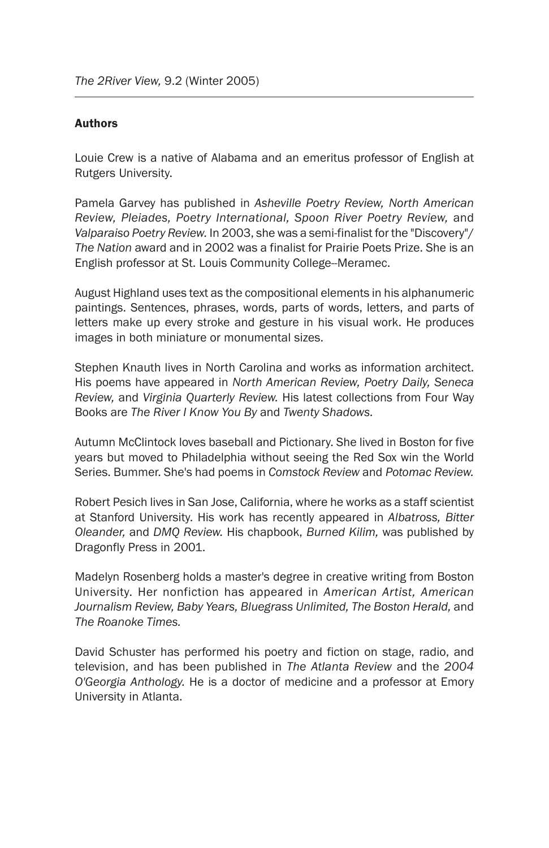#### Authors

Louie Crew is a native of Alabama and an emeritus professor of English at Rutgers University.

Pamela Garvey has published in *Asheville Poetry Review, North American Review, Pleiades, Poetry International, Spoon River Poetry Review,* and *Valparaiso Poetry Review.* In 2003, she was a semi-finalist for the "Discovery"/ *The Nation* award and in 2002 was a finalist for Prairie Poets Prize. She is an English professor at St. Louis Community College--Meramec.

August Highland uses text as the compositional elements in his alphanumeric paintings. Sentences, phrases, words, parts of words, letters, and parts of letters make up every stroke and gesture in his visual work. He produces images in both miniature or monumental sizes.

Stephen Knauth lives in North Carolina and works as information architect. His poems have appeared in *North American Review, Poetry Daily, Seneca Review,* and *Virginia Quarterly Review.* His latest collections from Four Way Books are *The River I Know You By* and *Twenty Shadows.*

Autumn McClintock loves baseball and Pictionary. She lived in Boston for five years but moved to Philadelphia without seeing the Red Sox win the World Series. Bummer. She's had poems in *Comstock Review* and *Potomac Review.*

Robert Pesich lives in San Jose, California, where he works as a staff scientist at Stanford University. His work has recently appeared in *Albatross, Bitter Oleander,* and *DMQ Review.* His chapbook, *Burned Kilim,* was published by Dragonfly Press in 2001.

Madelyn Rosenberg holds a master's degree in creative writing from Boston University. Her nonfiction has appeared in *American Artist, American Journalism Review, Baby Years, Bluegrass Unlimited, The Boston Herald,* and *The Roanoke Times.*

David Schuster has performed his poetry and fiction on stage, radio, and television, and has been published in *The Atlanta Review* and the *2004 O'Georgia Anthology.* He is a doctor of medicine and a professor at Emory University in Atlanta.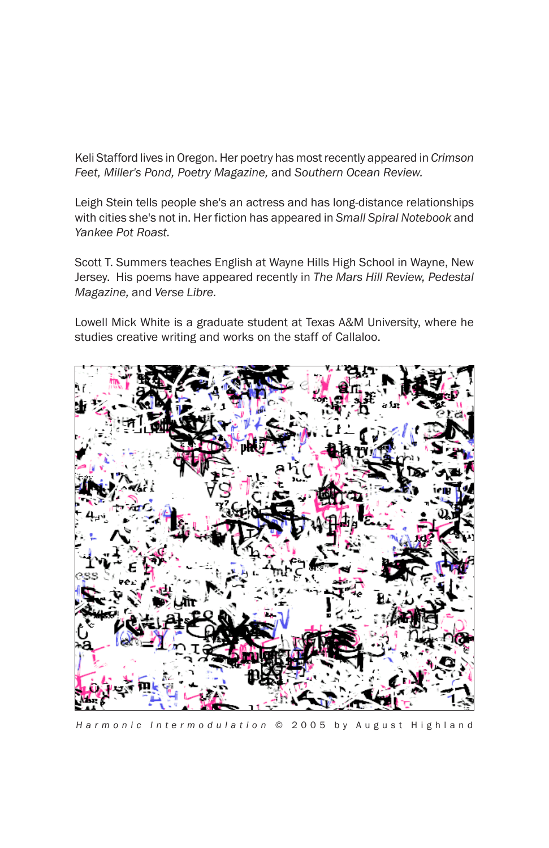Keli Stafford lives in Oregon. Her poetry has most recently appeared in *Crimson Feet, Miller's Pond, Poetry Magazine,* and *Southern Ocean Review.*

Leigh Stein tells people she's an actress and has long-distance relationships with cities she's not in. Her fiction has appeared in *Small Spiral Notebook* and *Yankee Pot Roast.*

Scott T. Summers teaches English at Wayne Hills High School in Wayne, New Jersey. His poems have appeared recently in *The Mars Hill Review, Pedestal Magazine,* and *Verse Libre.*

Lowell Mick White is a graduate student at Texas A&M University, where he studies creative writing and works on the staff of Callaloo.



*Harmonic Intermodulation* © 2005 by August Highland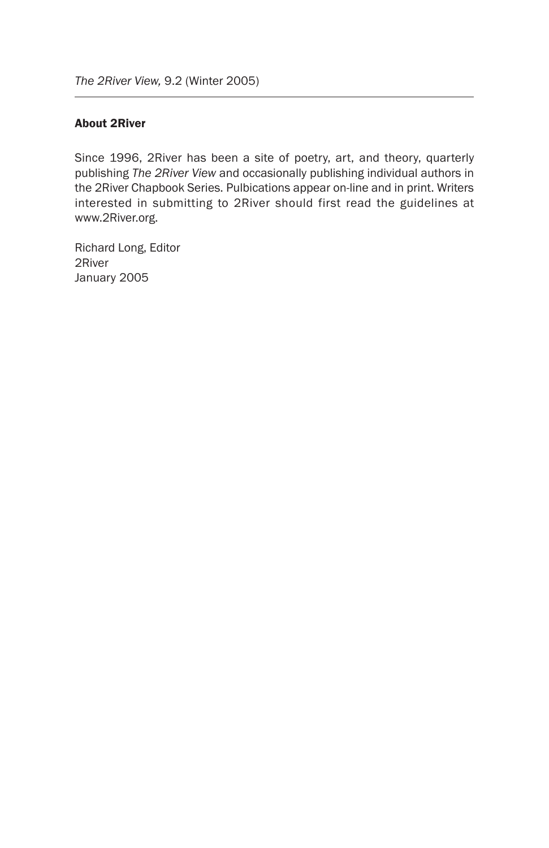# About 2River

Since 1996, 2River has been a site of poetry, art, and theory, quarterly publishing *The 2River View* and occasionally publishing individual authors in the 2River Chapbook Series. Pulbications appear on-line and in print. Writers interested in submitting to 2River should first read the guidelines at www.2River.org.

Richard Long, Editor 2River January 2005